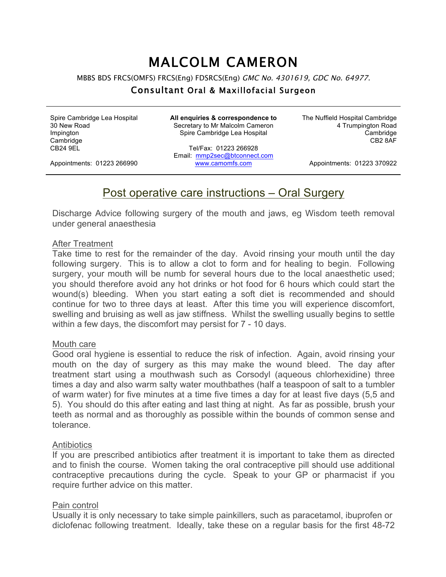# MALCOLM CAMERON

MBBS BDS FRCS(OMFS) FRCS(Eng) FDSRCS(Eng) GMC No. 4301619, GDC No. 64977.

### Consultant Oral & Maxillofacial Surgeon

Spire Cambridge Lea Hospital 30 New Road Impington **Cambridge** CB24 9EL

**All enquiries & correspondence to** Secretary to Mr Malcolm Cameron Spire Cambridge Lea Hospital

Tel/Fax: 01223 266928 Email: mmp2sec@btconnect.com www.camomfs.com

The Nuffield Hospital Cambridge 4 Trumpington Road Cambridge CB2 8AF

Appointments: 01223 266990

Appointments: 01223 370922

## Post operative care instructions – Oral Surgery

Discharge Advice following surgery of the mouth and jaws, eg Wisdom teeth removal under general anaesthesia

#### After Treatment

Take time to rest for the remainder of the day. Avoid rinsing your mouth until the day following surgery. This is to allow a clot to form and for healing to begin. Following surgery, your mouth will be numb for several hours due to the local anaesthetic used; you should therefore avoid any hot drinks or hot food for 6 hours which could start the wound(s) bleeding. When you start eating a soft diet is recommended and should continue for two to three days at least. After this time you will experience discomfort, swelling and bruising as well as jaw stiffness. Whilst the swelling usually begins to settle within a few days, the discomfort may persist for 7 - 10 days.

#### Mouth care

Good oral hygiene is essential to reduce the risk of infection. Again, avoid rinsing your mouth on the day of surgery as this may make the wound bleed. The day after treatment start using a mouthwash such as Corsodyl (aqueous chlorhexidine) three times a day and also warm salty water mouthbathes (half a teaspoon of salt to a tumbler of warm water) for five minutes at a time five times a day for at least five days (5,5 and 5). You should do this after eating and last thing at night. As far as possible, brush your teeth as normal and as thoroughly as possible within the bounds of common sense and tolerance.

#### **Antibiotics**

If you are prescribed antibiotics after treatment it is important to take them as directed and to finish the course. Women taking the oral contraceptive pill should use additional contraceptive precautions during the cycle. Speak to your GP or pharmacist if you require further advice on this matter.

#### Pain control

Usually it is only necessary to take simple painkillers, such as paracetamol, ibuprofen or diclofenac following treatment. Ideally, take these on a regular basis for the first 48-72